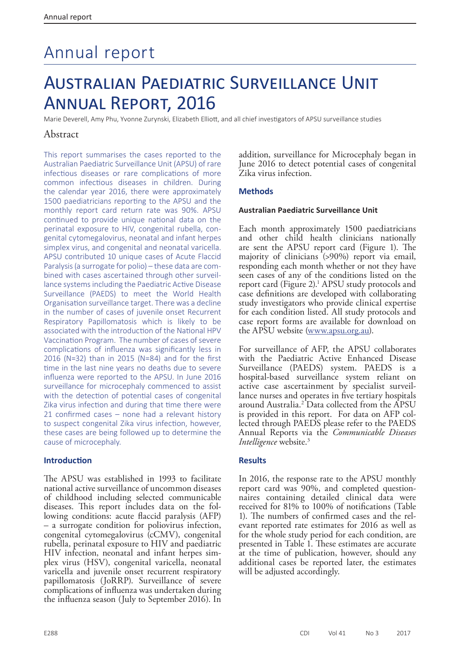# Annual report

# Australian Paediatric Surveillance Unit Annual Report, 2016

Marie Deverell, Amy Phu, Yvonne Zurynski, Elizabeth Elliott, and all chief investigators of APSU surveillance studies

# Abstract

This report summarises the cases reported to the Australian Paediatric Surveillance Unit (APSU) of rare infectious diseases or rare complications of more common infectious diseases in children. During the calendar year 2016, there were approximately 1500 paediatricians reporting to the APSU and the monthly report card return rate was 90%. APSU continued to provide unique national data on the perinatal exposure to HIV, congenital rubella, congenital cytomegalovirus, neonatal and infant herpes simplex virus, and congenital and neonatal varicella. APSU contributed 10 unique cases of Acute Flaccid Paralysis (a surrogate for polio) – these data are combined with cases ascertained through other surveillance systems including the Paediatric Active Disease Surveillance (PAEDS) to meet the World Health Organisation surveillance target. There was a decline in the number of cases of juvenile onset Recurrent Respiratory Papillomatosis which is likely to be associated with the introduction of the National HPV Vaccination Program. The number of cases of severe complications of influenza was significantly less in 2016 (N=32) than in 2015 (N=84) and for the first time in the last nine years no deaths due to severe influenza were reported to the APSU. In June 2016 surveillance for microcephaly commenced to assist with the detection of potential cases of congenital Zika virus infection and during that time there were 21 confirmed cases – none had a relevant history to suspect congenital Zika virus infection, however, these cases are being followed up to determine the cause of microcephaly.

## **Introduction**

The APSU was established in 1993 to facilitate national active surveillance of uncommon diseases of childhood including selected communicable diseases. This report includes data on the following conditions: acute flaccid paralysis (AFP) – a surrogate condition for poliovirus infection, congenital cytomegalovirus (cCMV), congenital rubella, perinatal exposure to HIV and paediatric HIV infection, neonatal and infant herpes simplex virus (HSV), congenital varicella, neonatal varicella and juvenile onset recurrent respiratory papillomatosis (JoRRP). Surveillance of severe complications of influenza was undertaken during the influenza season (July to September 2016). In

addition, surveillance for Microcephaly began in June 2016 to detect potential cases of congenital Zika virus infection.

# **Methods**

#### **Australian Paediatric Surveillance Unit**

Each month approximately 1500 paediatricians and other child health clinicians nationally are sent the APSU report card (Figure 1). The majority of clinicians (>90%) report via email, responding each month whether or not they have seen cases of any of the conditions listed on the report card (Figure 2).<sup>1</sup> APSU study protocols and case definitions are developed with collaborating study investigators who provide clinical expertise for each condition listed. All study protocols and case report forms are available for download on the APSU website [\(www.apsu.org.au\)](http://www.apsu.org.au).

For surveillance of AFP, the APSU collaborates with the Paediatric Active Enhanced Disease Surveillance (PAEDS) system. PAEDS is a hospital-based surveillance system reliant on active case ascertainment by specialist surveil- lance nurses and operates in five tertiary hospitals around Australia.2 Data collected from the APSU is provided in this report. For data on AFP col- lected through PAEDS please refer to the PAEDS Annual Reports via the *Communicable Diseases Intelligence* website.<sup>3</sup>

## **Results**

In 2016, the response rate to the APSU monthly report card was 90%, and completed questionnaires containing detailed clinical data were received for 81% to 100% of notifications (Table 1). The numbers of confirmed cases and the rel- evant reported rate estimates for 2016 as well as for the whole study period for each condition, are presented in Table 1. These estimates are accurate at the time of publication, however, should any additional cases be reported later, the estimates will be adjusted accordingly.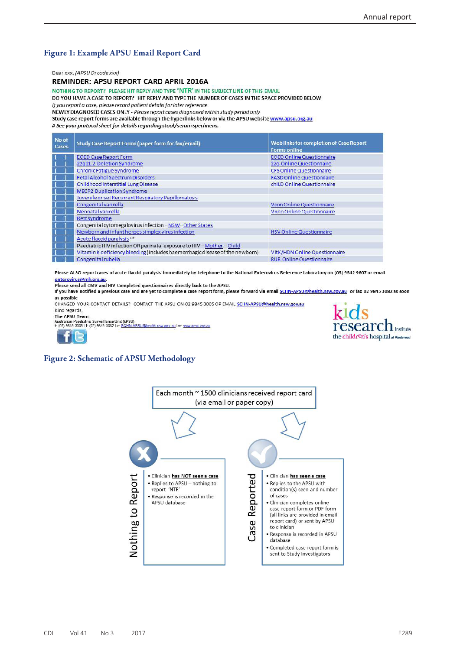# **Figure 1: Example APSU Email Report Card**

Dear xxx, (APSU Dr code xxx)

REMINDER: APSU REPORT CARD APRIL 2016A

#### NOTHING TO REPORT? PLEASE HIT REPLY AND TYPE 'NTR' IN THE SUBJECT LINE OF THIS EMAIL

DO YOU HAVE A CASE TO REPORT? HIT REPLY AND TYPE THE NUMBER OF CASES IN THE SPACE PROVIDED BELOW If you report a case, please record patient details for later reference

NEWLY DIAGNOSED CASES ONLY - Please report cases diagnosed within study period only

Study case report forms are available through the hyperlinks below or via the APSU website www.apsu.org.au

# See your protocol sheet for details regarding stool/serum specimens.

| No of<br><b>Cases</b> | <b>Study Case Report Forms (paper form for fax/email)</b>                    | Web links for completion of Case Report<br><b>Forms online</b> |
|-----------------------|------------------------------------------------------------------------------|----------------------------------------------------------------|
|                       | <b>EOED Case Report Form</b>                                                 | <b>EOED Online Questionnaire</b>                               |
|                       | 22q11.2 Deletion Syndrome                                                    | 22q Online Questionnaire                                       |
|                       | Chronic Fatigue Syndrome                                                     | <b>CFS Online Questionnaire</b>                                |
|                       | <b>Fetal Alcohol Spectrum Disorders</b>                                      | <b>FASD Online Questionnaire</b>                               |
|                       | Childhood Interstitial Lung Disease                                          | chILD Online Questionnaire                                     |
|                       | <b>MECP2 Duplication Syndrome</b>                                            | and the second state of the second state                       |
|                       | Juvenile onset Recurrent Respiratory Papillomatosis                          |                                                                |
|                       | Congenital varicella                                                         | <b>Vcon Online Questionnaire</b>                               |
|                       | Neonatal varicella                                                           | <b>Vneo Online Questionnaire</b>                               |
|                       | Rett syndrome                                                                |                                                                |
|                       | Congenital cytomegalovirus infection-NSW-Other States                        |                                                                |
|                       | Newborn and infant herpes simplex virus infection                            | <b>HSV Online Questionnaire</b>                                |
|                       | Acute flaccid paralysis **                                                   |                                                                |
|                       | Paediatric HIV infection OR perinatal exposure to HIV - Mother - Child       |                                                                |
|                       | Vitamin K deficiency bleeding (includes haemorrhagic disease of the newborn) | VitK/HDN Online Questionnaire                                  |
|                       | Congenital rubella                                                           | <b>RUB Online Questionnaire</b>                                |

Please ALSO report cases of acute flaccid paralysis immediately by telephone to the National Enterovirus Reference Laboratory on (03) 9342 9607 or email enterovirus@mh.org.au

Please send all CMV and HIV Completed questionnaires directly back to the APSU.

If you have notified a previous case and are yet to complete a case report form, please forward via email SCHN-APSU@health.nsw.gov.au or fax 02 9845 3082 as soon as possible

CHANGED YOUR CONTACT DETAILS? CONTACT THE APSU ON 02 9845 3005 OR EMAIL SCHN-APSU@health.nsw.gov.au Kind regards,

The APSU Team

Australian Paediatric Surveillance Unit (APSU)<br>t: (02) 9845 3005 | f: (02) 9845 3082 | e: <u>SCHN-APSU@health.nsw.gov.au</u> | w: www.apsu.org.au



#### **Figure 2: Schematic of APSU Methodology**

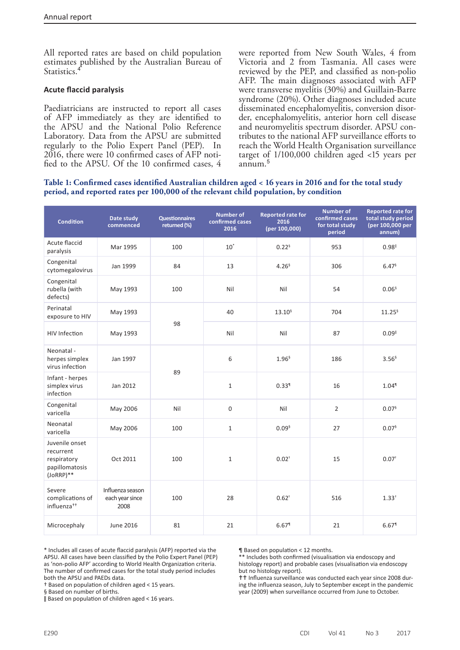All reported rates are based on child population estimates published by the Australian Bureau of Statistics.<sup>4</sup>

#### **Acute flaccid paralysis**

Paediatricians are instructed to report all cases of AFP immediately as they are identified to the APSU and the National Polio Reference Laboratory. Data from the APSU are submitted regularly to the Polio Expert Panel (PEP). In 2016, there were 10 confirmed cases of AFP notified to the APSU. Of the 10 confirmed cases, 4

were reported from New South Wales, 4 from Victoria and 2 from Tasmania. All cases were reviewed by the PEP, and classified as non-polio AFP. The main diagnoses associated with AFP were transverse myelitis (30%) and Guillain-Barre syndrome (20%). Other diagnoses included acute disseminated encephalomyelitis, conversion disorder, encephalomyelitis, anterior horn cell disease and neuromyelitis spectrum disorder. APSU contributes to the national AFP surveillance efforts to reach the World Health Organisation surveillance target of 1/100,000 children aged <15 years per annum.<sup>5</sup>

#### **Table 1: Confirmed cases identified Australian children aged < 16 years in 2016 and for the total study period, and reported rates per 100,000 of the relevant child population, by condition**

| <b>Condition</b>                                                             | Date study<br>commenced                     | <b>Questionnaires</b><br>returned (%) | <b>Number of</b><br>confirmed cases<br>2016 | <b>Reported rate for</b><br>2016<br>(per 100,000) | <b>Number of</b><br>confirmed cases<br>for total study<br>period | <b>Reported rate for</b><br>total study period<br>(per 100,000 per<br>annum) |
|------------------------------------------------------------------------------|---------------------------------------------|---------------------------------------|---------------------------------------------|---------------------------------------------------|------------------------------------------------------------------|------------------------------------------------------------------------------|
| Acute flaccid<br>paralysis                                                   | Mar 1995                                    | 100                                   | $10^*$                                      | $0.22^{6}$                                        | 953                                                              | 0.98                                                                         |
| Congenital<br>cytomegalovirus                                                | Jan 1999                                    | 84                                    | 13                                          | 4.26 <sup>6</sup>                                 | 306                                                              | 6.47 <sup>6</sup>                                                            |
| Congenital<br>rubella (with<br>defects)                                      | May 1993                                    | 100                                   | Nil                                         | Nil                                               | 54                                                               | 0.06 <sup>6</sup>                                                            |
| Perinatal<br>exposure to HIV                                                 | May 1993                                    | 98                                    | 40                                          | $13.10^{9}$                                       | 704                                                              | $11.25^{\frac{6}{5}}$                                                        |
| <b>HIV Infection</b>                                                         | May 1993                                    |                                       | Nil                                         | Nil                                               | 87                                                               | $0.09$ <sup><math>\text{I}</math></sup>                                      |
| Neonatal -<br>herpes simplex<br>virus infection                              | Jan 1997                                    |                                       | 6                                           | 1.96 <sup>6</sup>                                 | 186                                                              | 3.56 <sup>6</sup>                                                            |
| Infant - herpes<br>simplex virus<br>infection                                | Jan 2012                                    | 89                                    | $\mathbf 1$                                 | $0.33$ <sup>1</sup>                               | 16                                                               | $1.04$ <sup>1</sup>                                                          |
| Congenital<br>varicella                                                      | May 2006                                    | Nil                                   | $\mathbf 0$                                 | Nil                                               | $\overline{2}$                                                   | 0.07 <sup>5</sup>                                                            |
| Neonatal<br>varicella                                                        | May 2006                                    | 100                                   | $\mathbf{1}$                                | 0.09 <sup>6</sup>                                 | 27                                                               | 0.07 <sup>6</sup>                                                            |
| Juvenile onset<br>recurrent<br>respiratory<br>papillomatosis<br>$(JORRP)$ ** | Oct 2011                                    | 100                                   | $\mathbf{1}$                                | $0.02^{+}$                                        | 15                                                               | $0.07$ <sup>+</sup>                                                          |
| Severe<br>complications of<br>influenza <sup>++</sup>                        | Influenza season<br>each year since<br>2008 | 100                                   | 28                                          | $0.62^{+}$                                        | 516                                                              | $1.33^{+}$                                                                   |
| Microcephaly                                                                 | June 2016                                   | 81                                    | 21                                          | $6.67$ <sup>1</sup>                               | 21                                                               | $6.67$ <sup>1</sup>                                                          |

\* Includes all cases of acute flaccid paralysis (AFP) reported via the APSU. All cases have been classified by the Polio Expert Panel (PEP) as 'non-polio AFP' according to World Health Organization criteria. The number of confirmed cases for the total study period includes both the APSU and PAEDs data.

† Based on population of children aged < 15 years.

§ Based on number of births.

ǁ Based on population of children aged < 16 years.

¶ Based on population < 12 months.

\*\* Includes both confirmed (visualisation via endoscopy and histology report) and probable cases (visualisation via endoscopy but no histology report).

tt Influenza surveillance was conducted each year since 2008 during the influenza season, July to September except in the pandemic year (2009) when surveillance occurred from June to October.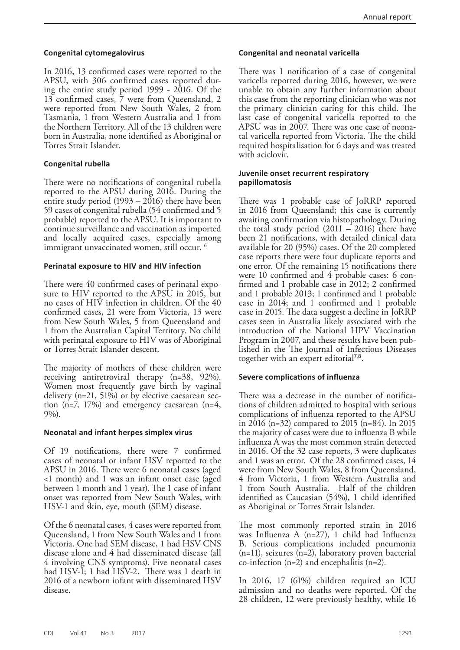#### **Congenital cytomegalovirus**

In 2016, 13 confirmed cases were reported to the APSU, with 306 confirmed cases reported during the entire study period 1999 - 2016. Of the 13 confirmed cases, 7 were from Queensland, 2 were reported from New South Wales, 2 from Tasmania, 1 from Western Australia and 1 from the Northern Territory. All of the 13 children were born in Australia, none identified as Aboriginal or Torres Strait Islander.

## **Congenital rubella**

There were no notifications of congenital rubella reported to the APSU during 2016. During the entire study period (1993 – 2016) there have been 59 cases of congenital rubella (54 confirmed and 5 probable) reported to the APSU. It is important to continue surveillance and vaccination as imported and locally acquired cases, especially among immigrant unvaccinated women, still occur.<sup>6</sup>

#### **Perinatal exposure to HIV and HIV infection**

There were 40 confirmed cases of perinatal exposure to HIV reported to the APSU in 2015, but no cases of HIV infection in children. Of the 40 confirmed cases, 21 were from Victoria, 13 were from New South Wales, 5 from Queensland and 1 from the Australian Capital Territory. No child with perinatal exposure to HIV was of Aboriginal or Torres Strait Islander descent.

The majority of mothers of these children were receiving antiretroviral therapy (n=38, 92%). Women most frequently gave birth by vaginal delivery (n=21, 51%) or by elective caesarean section (n=7, 17%) and emergency caesarean (n=4, 9%).

#### **Neonatal and infant herpes simplex virus**

Of 19 notifications, there were 7 confirmed cases of neonatal or infant HSV reported to the APSU in 2016. There were 6 neonatal cases (aged <1 month) and 1 was an infant onset case (aged between 1 month and 1 year). The 1 case of infant onset was reported from New South Wales, with HSV-1 and skin, eye, mouth (SEM) disease.

Of the 6 neonatal cases, 4 cases were reported from Queensland, 1 from New South Wales and 1 from Victoria. One had SEM disease, 1 had HSV CNS disease alone and 4 had disseminated disease (all 4 involving CNS symptoms). Five neonatal cases had HSV-I; 1 had HSV-2. There was 1 death in 2016 of a newborn infant with disseminated HSV disease.

#### **Congenital and neonatal varicella**

There was 1 notification of a case of congenital varicella reported during 2016, however, we were unable to obtain any further information about this case from the reporting clinician who was not the primary clinician caring for this child. The last case of congenital varicella reported to the APSU was in 2007. There was one case of neonatal varicella reported from Victoria. The the child required hospitalisation for 6 days and was treated with aciclovir.

#### **Juvenile onset recurrent respiratory papillomatosis**

There was 1 probable case of JoRRP reported in 2016 from Queensland; this case is currently awaiting confirmation via histopathology. During the total study period (2011 – 2016) there have been 21 notifications, with detailed clinical data available for 20 (95%) cases. Of the 20 completed case reports there were four duplicate reports and one error. Of the remaining 15 notifications there were 10 confirmed and 4 probable cases: 6 confirmed and 1 probable case in 2012; 2 confirmed and 1 probable 2013; 1 confirmed and 1 probable case in 2014; and 1 confirmed and 1 probable case in 2015. The data suggest a decline in JoRRP cases seen in Australia likely associated with the introduction of the National HPV Vaccination Program in 2007, and these results have been published in the The Journal of Infectious Diseases together with an expert editorial<sup>7,8</sup>.

## **Severe complications of influenza**

There was a decrease in the number of notifica- tions of children admitted to hospital with serious complications of influenza reported to the APSU in 2016 (n=32) compared to 2015 (n=84). In 2015 the majority of cases were due to influenza B while influenza A was the most common strain detected in 2016. Of the 32 case reports, 3 were duplicates and 1 was an error. Of the 28 confirmed cases, 14 were from New South Wales, 8 from Queensland, 4 from Victoria, 1 from Western Australia and 1 from South Australia. Half of the children identified as Caucasian (54%), 1 child identified as Aboriginal or Torres Strait Islander.

The most commonly reported strain in 2016 was Influenza A (n=27), 1 child had Influenza B. Serious complications included pneumonia  $(n=11)$ , seizures  $(n=2)$ , laboratory proven bacterial co-infection (n=2) and encephalitis (n=2).

In 2016, 17 (61%) children required an ICU admission and no deaths were reported. Of the 28 children, 12 were previously healthy, while 16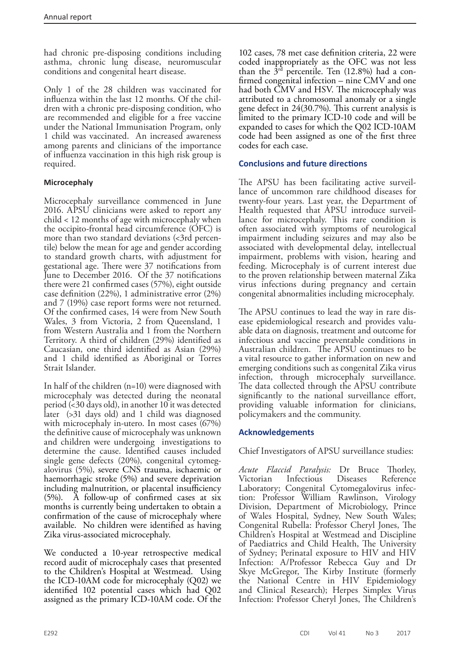had chronic pre-disposing conditions including asthma, chronic lung disease, neuromuscular conditions and congenital heart disease.

Only 1 of the 28 children was vaccinated for influenza within the last 12 months. Of the children with a chronic pre-disposing condition, who are recommended and eligible for a free vaccine under the National Immunisation Program, only 1 child was vaccinated. An increased awareness among parents and clinicians of the importance of influenza vaccination in this high risk group is required.

# **Microcephaly**

Microcephaly surveillance commenced in June 2016. APSU clinicians were asked to report any child < 12 months of age with microcephaly when the occipito-frontal head circumference (OFC) is more than two standard deviations  $\langle$ 3rd percentile) below the mean for age and gender according to standard growth charts, with adjustment for gestational age. There were 37 notifications from June to December 2016. Of the 37 notifications there were 21 confirmed cases (57%), eight outside case definition (22%), 1 administrative error (2%) and 7 (19%) case report forms were not returned. Of the confirmed cases, 14 were from New South Wales, 3 from Victoria, 2 from Queensland, 1 from Western Australia and 1 from the Northern Territory. A third of children (29%) identified as Caucasian, one third identified as Asian (29%) and 1 child identified as Aboriginal or Torres Strait Islander.

In half of the children (n=10) were diagnosed with microcephaly was detected during the neonatal period (<30 days old), in another 10 it was detected later (>31 days old) and 1 child was diagnosed with microcephaly in-utero. In most cases (67%) the definitive cause of microcephaly was unknown and children were undergoing investigations to determine the cause. Identified causes included single gene defects (20%), congenital cytomegalovirus (5%), severe CNS trauma, ischaemic or haemorrhagic stroke (5%) and severe deprivation including malnutrition, or placental insufficiency (5%). A follow-up of confirmed cases at six months is currently being undertaken to obtain a confirmation of the cause of microcephaly where available. No children were identified as having Zika virus-associated microcephaly.

We conducted a 10-year retrospective medical record audit of microcephaly cases that presented to the Children's Hospital at Westmead. Using the ICD-10AM code for microcephaly (Q02) we identified 102 potential cases which had Q02 assigned as the primary ICD-10AM code. Of the

102 cases, 78 met case definition criteria, 22 were coded inappropriately as the OFC was not less than the  $3<sup>rd</sup>$  percentile. Ten (12.8%) had a confirmed congenital infection – nine CMV and one had both CMV and HSV. The microcephaly was attributed to a chromosomal anomaly or a single gene defect in 24(30.7%). This current analysis is limited to the primary ICD-10 code and will be expanded to cases for which the Q02 ICD-10AM code had been assigned as one of the first three codes for each case.

# **Conclusions and future directions**

The APSU has been facilitating active surveillance of uncommon rare childhood diseases for twenty-four years. Last year, the Department of Health requested that APSU introduce surveillance for microcephaly. This rare condition is often associated with symptoms of neurological impairment including seizures and may also be associated with developmental delay, intellectual impairment, problems with vision, hearing and feeding. Microcephaly is of current interest due to the proven relationship between maternal Zika virus infections during pregnancy and certain congenital abnormalities including microcephaly.

The APSU continues to lead the way in rare disease epidemiological research and provides valuable data on diagnosis, treatment and outcome for infectious and vaccine preventable conditions in Australian children. The APSU continues to be a vital resource to gather information on new and emerging conditions such as congenital Zika virus infection, through microcephaly surveillance. The data collected through the APSU contribute significantly to the national surveillance effort, providing valuable information for clinicians, policymakers and the community.

## **Acknowledgements**

Chief Investigators of APSU surveillance studies:

*Acute Flaccid Paralysis:* Dr Bruce Thorley, Victorian Infectious Diseases Reference Laboratory; Congenital Cytomegalovirus infection: Professor William Rawlinson, Virology Division, Department of Microbiology, Prince of Wales Hospital, Sydney, New South Wales; Congenital Rubella: Professor Cheryl Jones, The Children's Hospital at Westmead and Discipline of Paediatrics and Child Health, The University of Sydney; Perinatal exposure to HIV and HIV Infection: A/Professor Rebecca Guy and Dr Skye McGregor, The Kirby Institute (formerly the National Centre in HIV Epidemiology and Clinical Research); Herpes Simplex Virus Infection: Professor Cheryl Jones, The Children's